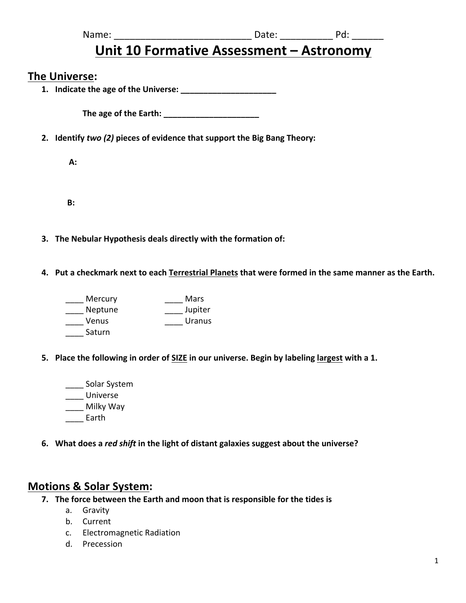Name: \_\_\_\_\_\_\_\_\_\_\_\_\_\_\_\_\_\_\_\_\_\_\_\_\_\_ Date: \_\_\_\_\_\_\_\_\_\_ Pd: \_\_\_\_\_\_

# **Unit 10 Formative Assessment - Astronomy**

### **The Universe:**

**1. Indicate the age of the Universe: \_\_\_\_\_\_\_\_\_\_\_\_\_\_\_\_\_\_\_\_\_** 

**The age of the Earth:**  $\blacksquare$ 

**2. Identify** *two (2)* **pieces of evidence that support the Big Bang Theory:**

A:

**B:** 

- **3.** The Nebular Hypothesis deals directly with the formation of:
- **4. Put a checkmark next to each Terrestrial Planets that were formed in the same manner as the Earth.**

| Mercury | Mars    |
|---------|---------|
| Neptune | Jupiter |
| Venus   | Uranus  |
| Saturn  |         |

- **5.** Place the following in order of SIZE in our universe. Begin by labeling largest with a 1.
	- \_\_\_\_\_ Solar System \_\_\_\_ Universe Milky Way \_\_\_\_ Earth
- 6. What does a *red shift* in the light of distant galaxies suggest about the universe?

## **Motions & Solar System:**

- **7.** The force between the Earth and moon that is responsible for the tides is
	- a. Gravity
	- b. Current
	- c. Electromagnetic Radiation
	- d. Precession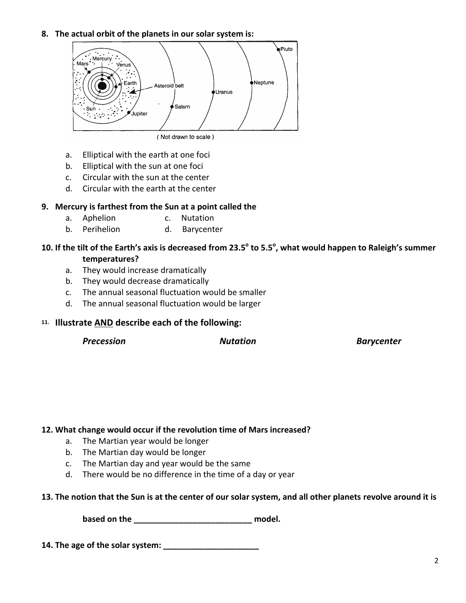**8.** The actual orbit of the planets in our solar system is:



- a. Elliptical with the earth at one foci
- b. Elliptical with the sun at one foci
- c. Circular with the sun at the center
- d. Circular with the earth at the center

#### **9.** Mercury is farthest from the Sun at a point called the

- a. Aphelion **c.** Nutation
- b. Perihelion d. Barycenter

#### 10. If the tilt of the Earth's axis is decreased from 23.5<sup>°</sup> to 5.5<sup>°</sup>, what would happen to Raleigh's summer **temperatures?**

- a. They would increase dramatically
- b. They would decrease dramatically
- c. The annual seasonal fluctuation would be smaller
- d. The annual seasonal fluctuation would be larger

#### 11. **Illustrate AND describe each of the following:**

*Precession Nutation Barycenter*

#### 12. What change would occur if the revolution time of Mars increased?

- a. The Martian year would be longer
- b. The Martian day would be longer
- c. The Martian day and year would be the same
- d. There would be no difference in the time of a day or year

#### 13. The notion that the Sun is at the center of our solar system, and all other planets revolve around it is

**based** on the **computer contained model**.

**14. The age of the solar system: \_\_\_\_\_\_\_\_\_\_\_\_\_\_\_\_\_\_\_\_\_**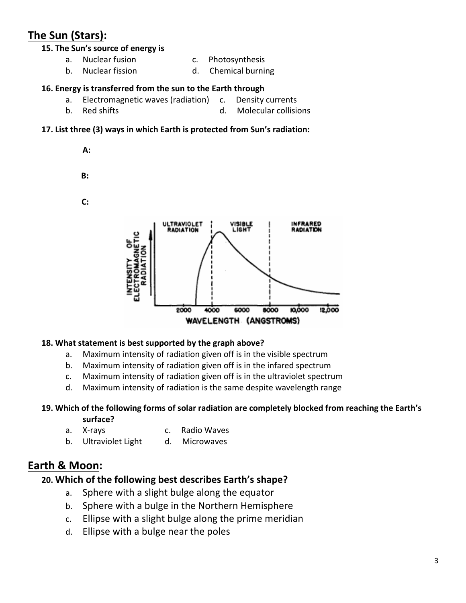# **The Sun (Stars):**

#### 15. The Sun's source of energy is

- a. Nuclear fusion **c.** Photosynthesis
- b. Nuclear fission b. Chemical burning

#### 16. Energy is transferred from the sun to the Earth through

- a. Electromagnetic waves (radiation) c. Density currents
- b. Red shifts d. Molecular collisions

#### **17.** List three (3) ways in which Earth is protected from Sun's radiation:



#### 18. What statement is best supported by the graph above?

- a. Maximum intensity of radiation given off is in the visible spectrum
- b. Maximum intensity of radiation given off is in the infared spectrum
- c. Maximum intensity of radiation given off is in the ultraviolet spectrum
- d. Maximum intensity of radiation is the same despite wavelength range

#### 19. Which of the following forms of solar radiation are completely blocked from reaching the Earth's **surface?**

- a. X-rays c. Radio Waves
- b. Ultraviolet Light d. Microwaves

## **Earth & Moon:**

#### 20. Which of the following best describes Earth's shape?

- a. Sphere with a slight bulge along the equator
- b. Sphere with a bulge in the Northern Hemisphere
- c. Ellipse with a slight bulge along the prime meridian
- d. Ellipse with a bulge near the poles